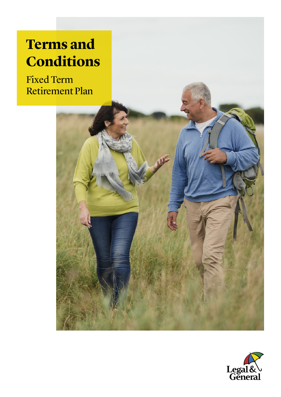# **Terms and Conditions**

Fixed Term Retirement Plan



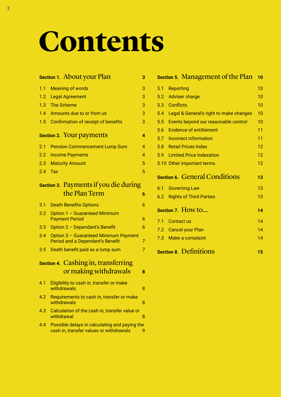# **Contents**

|     | <b>Section 1. About your Plan</b>                                                           | 3              |  |  |
|-----|---------------------------------------------------------------------------------------------|----------------|--|--|
| 1.1 | <b>Meaning of words</b>                                                                     | 3              |  |  |
| 1.2 | <b>Legal Agreement</b>                                                                      | 3              |  |  |
| 1.3 | <b>The Scheme</b>                                                                           |                |  |  |
| 1.4 | Amounts due to or from us<br>3                                                              |                |  |  |
| 1.5 | <b>Confirmation of receipt of benefits</b>                                                  |                |  |  |
|     | <b>Section 2. Your payments</b>                                                             | 4              |  |  |
| 2.1 | <b>Pension Commencement Lump Sum</b>                                                        | 4              |  |  |
| 2.2 | <b>Income Payments</b>                                                                      | $\overline{4}$ |  |  |
| 2.3 | <b>Maturity Amount</b>                                                                      | 5              |  |  |
| 2.4 | Tax                                                                                         | 5              |  |  |
|     | <b>Section 3. Payments if you die during</b>                                                |                |  |  |
|     | the Plan Term                                                                               | 6              |  |  |
| 3.1 | <b>Death Benefits Options</b>                                                               | 6              |  |  |
| 3.2 | Option 1 - Guaranteed Minimum<br><b>Payment Period</b><br>6                                 |                |  |  |
| 3.3 | Option 2 - Dependant's Benefit                                                              | 6              |  |  |
| 3.4 | Option 3 - Guaranteed Minimum Payment<br>$\overline{7}$<br>Period and a Dependant's Benefit |                |  |  |
| 3.5 | Death benefit paid as a lump sum                                                            | $\overline{7}$ |  |  |
|     | <b>Section 4. Cashing in, transferring</b><br>or making withdrawals                         | 8              |  |  |
| 4.1 | Eligibility to cash in, transfer or make<br>withdrawals                                     | 8              |  |  |

- 4.2 Requirements to cash in, transfer or make [withdrawals](#page-7-0) and the state of the state of the state of the state of the state of the state of the state of the
- [4.3 Calculation](#page-7-0) of the cash in, transfer value or [withdrawal](#page-7-0) and the state of the state of the state  $\sim$  8
- [4.4 Possible](#page-8-0) delays in calculating and paying the cash in, transfer values or withdrawals 9

|     | <b>Section 5. Management of the Plan</b> | 10 |
|-----|------------------------------------------|----|
| 5.1 | <b>Reporting</b>                         | 10 |
| 5.2 | <b>Adviser charge</b>                    | 10 |
| 5.3 | <b>Conflicts</b>                         | 10 |
| 5.4 | Legal & General's right to make changes  | 10 |
| 5.5 | Events beyond our reasonable control     | 10 |
| 5.6 | <b>Evidence of entitlement</b>           | 11 |
| 5.7 | Incorrect information                    | 11 |
| 5.8 | <b>Retail Prices Index</b>               | 12 |
| 5.9 | <b>Limited Price Indexation</b>          | 12 |
|     | 5.10 Other important terms               | 12 |
|     | <b>Section 6. General Conditions</b>     | 13 |
| 6.1 | <b>Governing Law</b>                     | 13 |
| 6.2 | <b>Rights of Third Parties</b>           | 13 |
|     | Section 7. How to                        | 14 |
| 7.1 | <b>Contact us</b>                        | 14 |
|     | 7.2 Cancel your Plan                     | 14 |
|     | 7.3 Make a complaint                     | 14 |
|     | <b>Section 8. Definitions</b>            | 15 |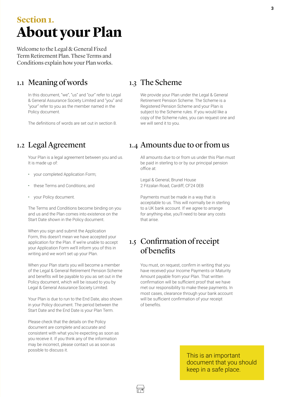## <span id="page-2-0"></span>**Section 1. About your Plan**

Welcome to the Legal & General Fixed Term Retirement Plan. These Terms and Conditions explain how your Plan works.

## 1.1 Meaning of words

In this document, "we", "us" and "our" refer to Legal & General Assurance Society Limited and "you" and "your" refer to you as the member named in the Policy document.

The definitions of words are set out in section 8.

## 1.2 Legal Agreement

Your Plan is a legal agreement between you and us. It is made up of:

- your completed Application Form;
- these Terms and Conditions; and
- your Policy document.

The Terms and Conditions become binding on you and us and the Plan comes into existence on the Start Date shown in the Policy document.

When you sign and submit the Application Form, this doesn't mean we have accepted your application for the Plan. If we're unable to accept your Application Form we'll inform you of this in writing and we won't set up your Plan.

When your Plan starts you will become a member of the Legal & General Retirement Pension Scheme and benefits will be payable to you as set out in the Policy document, which will be issued to you by Legal & General Assurance Society Limited.

Your Plan is due to run to the End Date, also shown in your Policy document. The period between the Start Date and the End Date is your Plan Term.

Please check that the details on the Policy document are complete and accurate and consistent with what you're expecting as soon as you receive it. If you think any of the information may be incorrect, please contact us as soon as possible to discuss it.

#### 1.3 The Scheme

We provide your Plan under the Legal & General Retirement Pension Scheme. The Scheme is a Registered Pension Scheme and your Plan is subject to the Scheme rules. If you would like a copy of the Scheme rules, you can request one and we will send it to you.

#### 1.4 Amounts due to or from us

All amounts due to or from us under this Plan must be paid in sterling to or by our principal pension office at:

Legal & General, Brunel House 2 Fitzalan Road, Cardiff, CF24 0EB

Payments must be made in a way that is acceptable to us. This will normally be in sterling to a UK bank account. If we agree to arrange for anything else, you'll need to bear any costs that arise.

## 1.5 Confirmation of receipt of benefits

You must, on request, confirm in writing that you have received your Income Payments or Maturity Amount payable from your Plan. That written confirmation will be sufficient proof that we have met our responsibility to make these payments. In most cases, clearance through your bank account will be sufficient confirmation of your receipt of benefits.

> This is an important document that you should keep in a safe place.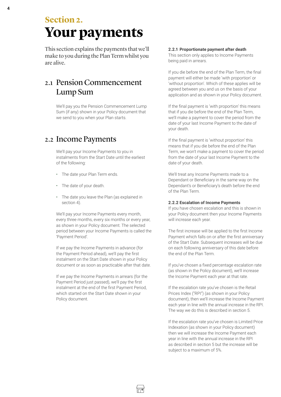<span id="page-3-0"></span>This section explains the payments that we'll make to you during the Plan Term whilst you are alive.

## 2.1 Pension Commencement Lump Sum

We'll pay you the Pension Commencement Lump Sum (if any) shown in your Policy document that we send to you when your Plan starts.

#### 2.2 Income Payments

We'll pay your Income Payments to you in instalments from the Start Date until the earliest of the following:

- The date your Plan Term ends.
- The date of your death.
- The date you leave the Plan (as explained in section 4).

We'll pay your Income Payments every month, every three months, every six months or every year, as shown in your Policy document. The selected period between your Income Payments is called the 'Payment Period'.

If we pay the Income Payments in advance (for the Payment Period ahead), we'll pay the first instalment on the Start Date shown in your Policy document or as soon as practicable after that date.

If we pay the Income Payments in arrears (for the Payment Period just passed), we'll pay the first instalment at the end of the first Payment Period, which started on the Start Date shown in your Policy document.

#### **2.2.1 Proportionate payment after death**

This section only applies to Income Payments being paid in arrears.

If you die before the end of the Plan Term, the final payment will either be made 'with proportion' or 'without proportion'. Which of these applies will be agreed between you and us on the basis of your application and as shown in your Policy document.

If the final payment is 'with proportion' this means that if you die before the end of the Plan Term, we'll make a payment to cover the period from the date of your last Income Payment to the date of your death.

If the final payment is 'without proportion' this means that if you die before the end of the Plan Term, we won't make a payment to cover the period from the date of your last Income Payment to the date of your death.

We'll treat any Income Payments made to a Dependant or Beneficiary in the same way on the Dependant's or Beneficiary's death before the end of the Plan Term.

#### **2.2.2 Escalation of Income Payments**

If you have chosen escalation and this is shown in your Policy document then your Income Payments will increase each year.

The first increase will be applied to the first Income Payment which falls on or after the first anniversary of the Start Date. Subsequent increases will be due on each following anniversary of this date before the end of the Plan Term.

If you've chosen a fixed percentage escalation rate (as shown in the Policy document), we'll increase the Income Payment each year at that rate.

If the escalation rate you've chosen is the Retail Prices Index ("RPI") (as shown in your Policy document), then we'll increase the Income Payment each year in line with the annual increase in the RPI. The way we do this is described in section 5.

If the escalation rate you've chosen is Limited Price Indexation (as shown in your Policy document) then we will increase the Income Payment each year in line with the annual increase in the RPI as described in section 5 but the increase will be subject to a maximum of 5%.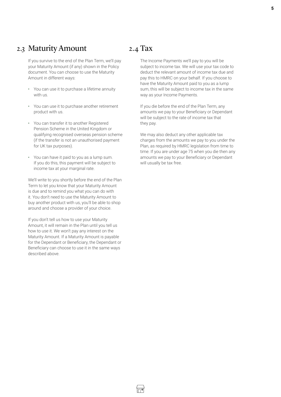#### <span id="page-4-0"></span>2.3 Maturity Amount

If you survive to the end of the Plan Term, we'll pay your Maturity Amount (if any) shown in the Policy document. You can choose to use the Maturity Amount in different ways:

- You can use it to purchase a lifetime annuity with us.
- You can use it to purchase another retirement product with us.
- You can transfer it to another Registered Pension Scheme in the United Kingdom or qualifying recognised overseas pension scheme (if the transfer is not an unauthorised payment for UK tax purposes).
- You can have it paid to you as a lump sum. If you do this, this payment will be subject to income tax at your marginal rate.

We'll write to you shortly before the end of the Plan Term to let you know that your Maturity Amount is due and to remind you what you can do with it. You don't need to use the Maturity Amount to buy another product with us, you'll be able to shop around and choose a provider of your choice.

If you don't tell us how to use your Maturity Amount, it will remain in the Plan until you tell us how to use it. We won't pay any interest on the Maturity Amount. If a Maturity Amount is payable for the Dependant or Beneficiary, the Dependant or Beneficiary can choose to use it in the same ways described above.

### 2.4 Tax

The Income Payments we'll pay to you will be subject to income tax. We will use your tax code to deduct the relevant amount of income tax due and pay this to HMRC on your behalf. If you choose to have the Maturity Amount paid to you as a lump sum, this will be subject to income tax in the same way as your Income Payments.

If you die before the end of the Plan Term, any amounts we pay to your Beneficiary or Dependant will be subject to the rate of income tax that they pay.

We may also deduct any other applicable tax charges from the amounts we pay to you under the Plan, as required by HMRC legislation from time to time. If you are under age 75 when you die then any amounts we pay to your Beneficiary or Dependant will usually be tax free.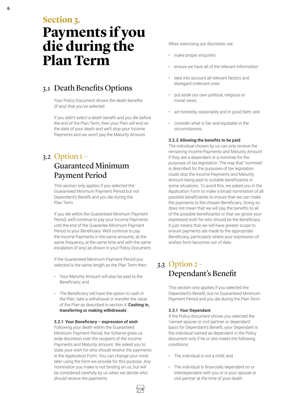<span id="page-5-0"></span>6

#### **Section 3.**

# **Payments if you die during the Plan Term**

## 3.1 Death Benefits Options

Your Policy Document shows the death benefits (if any) that you've selected.

If you didn't select a death benefit and you die before the end of the Plan Term, then your Plan will end on the date of your death and we'll stop your Income Payments and we won't pay the Maturity Amount.

## 3.2 Option 1 – Guaranteed Minimum Payment Period

This section only applies if you selected the Guaranteed Minimum Payment Period but not Dependant's Benefit and you die during the Plan Term.

If you die within the Guaranteed Minimum Payment Period, we'll continue to pay your Income Payments until the end of the Guarantee Minimum Payment Period to your Beneficiary. We'll continue to pay the Income Payments in the same amounts, at the same frequency, at the same time and with the same escalation (if any) as shown in your Policy Document.

If the Guaranteed Minimum Payment Period you selected is the same length as the Plan Term then:

- Your Maturity Amount will also be paid to the Beneficiary; and
- The Beneficiary will have the option to cash in the Plan, take a withdrawal or transfer the value of the Plan as described in section 4 '**Cashing in, transferring or making withdrawals**'.

#### **3.2.1 Your Beneficiary – expression of wish**

Following your death within the Guaranteed Minimum Payment Period, the Scheme gives us wide discretion over the recipient of the Income Payments and Maturity Amount. We asked you to state your wish for who should receive the payments in the Application Form. You can change your mind later using the form we provide for this purpose. Any nomination you make is not binding on us, but will be considered carefully by us when we decide who should receive the payments.

When exercising our discretion, we:

- make proper enquiries
- ensure we have all of the relevant information
- take into account all relevant factors and disregard irrelevant ones
- put aside our own political, religious or moral views
- act honestly, reasonably and in good faith; and
- consider what is fair and equitable in the circumstances.

#### **3.2.2 Allowing the benefits to be paid**

The individual chosen by us can only receive the remaining Income Payments and Maturity Amount if they are a dependant or a nominee for the purposes of tax legislation. The way that "nominee" is described for the purposes of tax legislation could stop the Income Payments and Maturity Amount being paid to suitable beneficiaries in some situations. To avoid this, we asked you in the Application Form to make a broad nomination of all possible beneficiaries to ensure that we can make the payments to the chosen Beneficiary. Doing so does not mean that we will pay the benefits to all of the possible beneficiaries or that we ignore your expressed wish for who should be the Beneficiary. It just means that we will have greater scope to ensure payments are made to the appropriate Beneficiary, particularly where your expression of wishes form becomes out of date.

#### 3.3 Option 2 – Dependant's Benefit

This section only applies if you selected the Dependant's Benefit, but no Guaranteed Minimum Payment Period and you die during the Plan Term.

#### **3.3.1 Your Dependant**

If the Policy document shows you selected the 'named spouse or civil partner or dependant' basis for Dependant's Benefit, your Dependant is the individual named as dependant in the Policy document only if he or she meets the following conditions:

- The individual is not a child; and
- The individual is financially dependent on or interdependent with you or is your spouse or civil partner at the time of your death.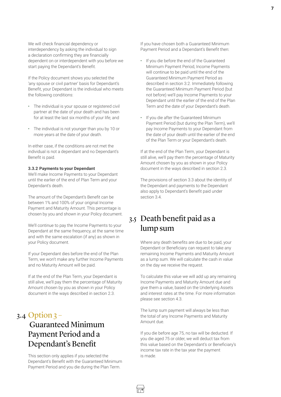<span id="page-6-0"></span>We will check financial dependency or interdependency by asking the individual to sign a declaration confirming they are financially dependent on or interdependent with you before we start paying the Dependant's Benefit.

If the Policy document shows you selected the 'any spouse or civil partner' basis for Dependant's Benefit, your Dependant is the individual who meets the following conditions:

- The individual is your spouse or registered civil partner at the date of your death and has been for at least the last six months of your life; and
- The individual is not younger than you by 10 or more years at the date of your death.

In either case, if the conditions are not met the individual is not a dependant and no Dependant's Benefit is paid.

#### **3.3.2 Payments to your Dependant**

We'll make Income Payments to your Dependant until the earlier of the end of Plan Term and your Dependant's death.

The amount of the Dependant's Benefit can be between 1% and 100% of your original Income Payment and Maturity Amount. This percentage is chosen by you and shown in your Policy document.

We'll continue to pay the Income Payments to your Dependant at the same frequency, at the same time and with the same escalation (if any) as shown in your Policy document.

If your Dependant dies before the end of the Plan Term, we won't make any further Income Payments and no Maturity Amount will be paid.

If at the end of the Plan Term, your Dependant is still alive, we'll pay them the percentage of Maturity Amount chosen by you as shown in your Policy document in the ways described in section 2.3.

#### 3.4 Option 3 –

## Guaranteed Minimum Payment Period and a Dependant's Benefit

This section only applies if you selected the Dependant's Benefit with the Guaranteed Minimum Payment Period and you die during the Plan Term.

If you have chosen both a Guaranteed Minimum Payment Period and a Dependant's Benefit then:

- If you die before the end of the Guaranteed Minimum Payment Period, Income Payments will continue to be paid until the end of the Guaranteed Minimum Payment Period as described in section 3.2. Immediately following the Guaranteed Minimum Payment Period (but not before) we'll pay Income Payments to your Dependant until the earlier of the end of the Plan Term and the date of your Dependant's death.
- If you die after the Guaranteed Minimum Payment Period (but during the Plan Term), we'll pay Income Payments to your Dependant from the date of your death until the earlier of the end of the Plan Term or your Dependant's death.

If at the end of the Plan Term, your Dependant is still alive, we'll pay them the percentage of Maturity Amount chosen by you as shown in your Policy document in the ways described in section 2.3.

The provisions of section 3.3 about the identity of the Dependant and payments to the Dependant also apply to Dependant's Benefit paid under section 3.4.

### 3.5 Death benefit paid as a lump sum

Where any death benefits are due to be paid, your Dependant or Beneficiary can request to take any remaining Income Payments and Maturity Amount as a lump sum. We will calculate the cash in value on the day we receive the request.

To calculate this value we will add up any remaining Income Payments and Maturity Amount due and give them a value, based on the Underlying Assets and interest rates at the time. For more information please see section 4.3.

The lump sum payment will always be less than the total of any Income Payments and Maturity Amount due.

If you die before age 75, no tax will be deducted. If you die aged 75 or older, we will deduct tax from this value based on the Dependant's or Beneficiary's income tax rate in the tax year the payment is made.

İ⊓®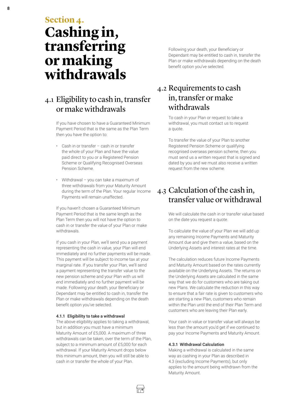<span id="page-7-0"></span>**Section 4. Cashing in, transferring or making withdrawals** 

### 4.1 Eligibility to cash in, transfer or make withdrawals

If you have chosen to have a Guaranteed Minimum Payment Period that is the same as the Plan Term then you have the option to:

- Cash in or transfer cash in or transfer the whole of your Plan and have the value paid direct to you or a Registered Pension Scheme or Qualifying Recognised Overseas Pension Scheme.
- Withdrawal you can take a maximum of three withdrawals from your Maturity Amount during the term of the Plan. Your regular Income Payments will remain unaffected.

If you haven't chosen a Guaranteed Minimum Payment Period that is the same length as the Plan Term then you will not have the option to cash in or transfer the value of your Plan or make withdrawals.

If you cash in your Plan, we'll send you a payment representing the cash in value, your Plan will end immediately and no further payments will be made. This payment will be subject to income tax at your marginal rate. If you transfer your Plan, we'll send a payment representing the transfer value to the new pension scheme and your Plan with us will end immediately and no further payment will be made. Following your death, your Beneficiary or Dependant may be entitled to cash in, transfer the Plan or make withdrawals depending on the death benefit option you've selected.

#### **4.1.1 Eligibility to take a withdrawal**

The above eligibility applies to taking a withdrawal, but in addition you must have a minimum Maturity Amount of £5,000. A maximum of three withdrawals can be taken, over the term of the Plan, subject to a minimum amount of £5,000 for each withdrawal. If your Maturity Amount drops below this minimum amount, then you will still be able to cash in or transfer the whole of your Plan.

Following your death, your Beneficiary or Dependant may be entitled to cash in, transfer the Plan or make withdrawals depending on the death benefit option you've selected.

#### 4.2 Requirements to cash in, transfer or make withdrawals

To cash in your Plan or request to take a withdrawal, you must contact us to request a quote.

To transfer the value of your Plan to another Registered Pension Scheme or qualifying recognised overseas pension scheme, then you must send us a written request that is signed and dated by you and we must also receive a written request from the new scheme.

## 4.3 Calculation of the cash in, transfer value or withdrawal

We will calculate the cash in or transfer value based on the date you request a quote.

To calculate the value of your Plan we will add up any remaining Income Payments and Maturity Amount due and give them a value, based on the Underlying Assets and interest rates at the time.

The calculation reduces future Income Payments and Maturity Amount based on the rates currently available on the Underlying Assets. The returns on the Underlying Assets are calculated in the same way that we do for customers who are taking out new Plans. We calculate the reduction in this way to ensure that a fair rate is given to customers who are starting a new Plan, customers who remain within the Plan until the end of their Plan Term and customers who are leaving their Plan early.

Your cash in value or transfer value will always be less than the amount you'd get if we continued to pay your Income Payments and Maturity Amount.

#### **4.3.1 Withdrawal Calculation**

Making a withdrawal is calculated in the same way as cashing in your Plan as described in 4.3 (excluding Income Payments), but only applies to the amount being withdrawn from the Maturity Amount.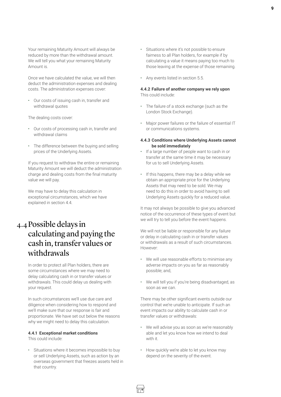<span id="page-8-0"></span>Your remaining Maturity Amount will always be reduced by more than the withdrawal amount. We will tell you what your remaining Maturity Amount is.

Once we have calculated the value, we will then deduct the administration expenses and dealing costs. The administration expenses cover:

• Our costs of issuing cash in, transfer and withdrawal quotes

The dealing costs cover:

- Our costs of processing cash in, transfer and withdrawal claims
- The difference between the buying and selling prices of the Underlying Assets.

If you request to withdraw the entire or remaining Maturity Amount we will deduct the administration charge and dealing costs from the final maturity value we will pay.

We may have to delay this calculation in exceptional circumstances, which we have explained in section 4.4.

## 4.4Possible delays in calculating and paying the cash in, transfer values or withdrawals

In order to protect all Plan holders, there are some circumstances where we may need to delay calculating cash in or transfer values or withdrawals. This could delay us dealing with your request.

In such circumstances we'll use due care and diligence when considering how to respond and we'll make sure that our response is fair and proportionate. We have set out below the reasons why we might need to delay this calculation.

#### **4.4.1 Exceptional market conditions**

This could include:

• Situations where it becomes impossible to buy or sell Underlying Assets, such as action by an overseas government that freezes assets held in that country.

- Situations where it's not possible to ensure fairness to all Plan holders, for example if by calculating a value it means paying too much to those leaving at the expense of those remaining.
- Any events listed in section 5.5.

#### **4.4.2 Failure of another company we rely upon** This could include:

- The failure of a stock exchange (such as the London Stock Exchange).
- Major power failures or the failure of essential IT or communications systems.
- **4.4.3 Conditions where Underlying Assets cannot be sold immediately**
- If a large number of people want to cash in or transfer at the same time it may be necessary for us to sell Underlying Assets.
- If this happens, there may be a delay while we obtain an appropriate price for the Underlying Assets that may need to be sold. We may need to do this in order to avoid having to sell Underlying Assets quickly for a reduced value.

It may not always be possible to give you advanced notice of the occurrence of these types of event but we will try to tell you before the event happens.

We will not be liable or responsible for any failure or delay in calculating cash in or transfer values or withdrawals as a result of such circumstances. However:

- We will use reasonable efforts to minimise any adverse impacts on you as far as reasonably possible; and,
- We will tell you if you're being disadvantaged, as soon as we can.

There may be other significant events outside our control that we're unable to anticipate. If such an event impacts our ability to calculate cash in or transfer values or withdrawals:

- We will advise you as soon as we're reasonably able and let you know how we intend to deal with it.
- How quickly we're able to let you know may depend on the severity of the event.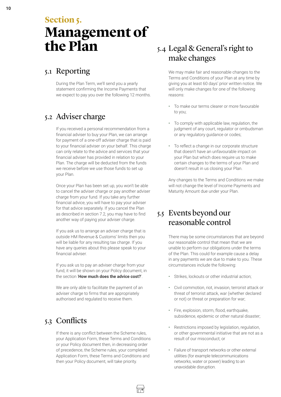# <span id="page-9-0"></span>**Section 5. Management of the Plan**

## 5.1 Reporting

During the Plan Term, we'll send you a yearly statement confirming the Income Payments that we expect to pay you over the following 12 months.

## 5.2 Adviser charge

If you received a personal recommendation from a financial adviser to buy your Plan, we can arrange for payment of a one-off adviser charge that is paid to your financial adviser on your behalf. This charge can only relate to the advice and services that your financial adviser has provided in relation to your Plan. The charge will be deducted from the funds we receive before we use those funds to set up your Plan.

Once your Plan has been set up, you won't be able to cancel the adviser charge or pay another adviser charge from your fund. If you take any further financial advice, you will have to pay your adviser for that advice separately. If you cancel the Plan as described in section 7.2, you may have to find another way of paying your adviser charge.

If you ask us to arrange an adviser charge that is outside HM Revenue & Customs' limits then you will be liable for any resulting tax charge. If you have any queries about this please speak to your financial adviser.

If you ask us to pay an adviser charge from your fund, it will be shown on your Policy document, in the section '**How much does the advice cost?**'.

We are only able to facilitate the payment of an adviser charge to firms that are appropriately authorised and regulated to receive them.

## 5.3 Conflicts

If there is any conflict between the Scheme rules, your Application Form, these Terms and Conditions or your Policy document then, in decreasing order of precedence, the Scheme rules, your completed Application Form, these Terms and Conditions and then your Policy document, will take priority.

## 5.4 Legal & General's right to make changes

We may make fair and reasonable changes to the Terms and Conditions of your Plan at any time by giving you at least 60 days' prior written notice. We will only make changes for one of the following reasons:

- To make our terms clearer or more favourable to you;
- To comply with applicable law, regulation, the judgment of any court, regulator or ombudsman or any regulatory guidance or codes;
- To reflect a change in our corporate structure that doesn't have an unfavourable impact on your Plan but which does require us to make certain changes to the terms of your Plan and doesn't result in us closing your Plan.

Any changes to the Terms and Conditions we make will not change the level of Income Payments and Maturity Amount due under your Plan.

#### 5.5 Events beyond our reasonable control

There may be some circumstances that are beyond our reasonable control that mean that we are unable to perform our obligations under the terms of the Plan. This could for example cause a delay in any payments we are due to make to you. These circumstances include the following:

- Strikes, lockouts or other industrial action;
- Civil commotion, riot, invasion, terrorist attack or threat of terrorist attack, war (whether declared or not) or threat or preparation for war;
- Fire, explosion, storm, flood, earthquake, subsidence, epidemic or other natural disaster;
- Restrictions imposed by legislation, regulation, or other governmental initiative that are not as a result of our misconduct; or
- Failure of transport networks or other external utilities (for example telecommunications networks, water or power) leading to an unavoidable disruption.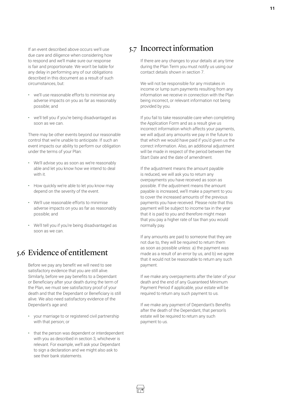<span id="page-10-0"></span>If an event described above occurs we'll use due care and diligence when considering how to respond and we'll make sure our response is fair and proportionate. We won't be liable for any delay in performing any of our obligations described in this document as a result of such circumstances, but:

- we'll use reasonable efforts to minimise any adverse impacts on you as far as reasonably possible; and
- we'll tell you if you're being disadvantaged as soon as we can.

There may be other events beyond our reasonable control that we're unable to anticipate. If such an event impacts our ability to perform our obligation under the terms of your Plan:

- We'll advise you as soon as we're reasonably able and let you know how we intend to deal with it.
- How quickly we're able to let you know may depend on the severity of the event.
- We'll use reasonable efforts to minimise adverse impacts on you as far as reasonably possible; and
- We'll tell you if you're being disadvantaged as soon as we can.

#### 5.6 Evidence of entitlement

Before we pay any benefit we will need to see satisfactory evidence that you are still alive. Similarly, before we pay benefits to a Dependant or Beneficiary after your death during the term of the Plan, we must see satisfactory proof of your death and that the Dependant or Beneficiary is still alive. We also need satisfactory evidence of the Dependant's age and:

- your marriage to or registered civil partnership with that person; or
- that the person was dependent or interdependent with you as described in section 3, whichever is relevant. For example, we'll ask your Dependant to sign a declaration and we might also ask to see their bank statements.

#### 5.7 Incorrect information

If there are any changes to your details at any time during the Plan Term you must notify us using our contact details shown in section 7.

We will not be responsible for any mistakes in income or lump sum payments resulting from any information we receive in connection with the Plan being incorrect, or relevant information not being provided by you.

If you fail to take reasonable care when completing the Application Form and as a result give us incorrect information which affects your payments, we will adjust any amounts we pay in the future to that which we would have paid if you'd given us the correct information. Also, an additional adjustment will be made in respect of the period between the Start Date and the date of amendment.

If the adjustment means the amount payable is reduced, we will ask you to return any overpayments you have received as soon as possible. If the adjustment means the amount payable is increased, we'll make a payment to you to cover the increased amounts of the previous payments you have received. Please note that this payment will be subject to income tax in the year that it is paid to you and therefore might mean that you pay a higher rate of tax than you would normally pay.

If any amounts are paid to someone that they are not due to, they will be required to return them as soon as possible unless: a) the payment was made as a result of an error by us, and b) we agree that it would not be reasonable to return any such payment.

If we make any overpayments after the later of your death and the end of any Guaranteed Minimum Payment Period if applicable, your estate will be required to return any such payment to us.

If we make any payment of Dependant's Benefits after the death of the Dependant, that person's estate will be required to return any such payment to us.

İ⊓®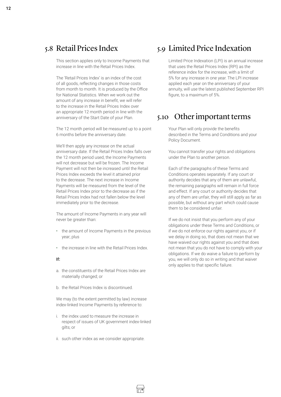#### <span id="page-11-0"></span>5.8 Retail Prices Index

This section applies only to Income Payments that increase in line with the Retail Prices Index.

The 'Retail Prices Index' is an index of the cost of all goods, reflecting changes in those costs from month to month. It is produced by the Office for National Statistics. When we work out the amount of any increase in benefit, we will refer to the increase in the Retail Prices Index over an appropriate 12 month period in line with the anniversary of the Start Date of your Plan.

The 12 month period will be measured up to a point 6 months before the anniversary date.

We'll then apply any increase on the actual anniversary date. If the Retail Prices Index falls over the 12 month period used, the Income Payments will not decrease but will be frozen. The Income Payment will not then be increased until the Retail Prices Index exceeds the level it attained prior to the decrease. The next increase in Income Payments will be measured from the level of the Retail Prices Index prior to the decrease as if the Retail Prices Index had not fallen below the level immediately prior to the decrease.

The amount of Income Payments in any year will never be greater than:

- the amount of Income Payments in the previous year; plus
- the increase in line with the Retail Prices Index.

#### **If:**

- a. the constituents of the Retail Prices Index are materially changed; or
- b. the Retail Prices Index is discontinued.

We may (to the extent permitted by law) increase index-linked Income Payments by reference to:

- i. the index used to measure the increase in respect of issues of UK government index-linked gilts; or
- ii. such other index as we consider appropriate.

#### 5.9 Limited Price Indexation

Limited Price Indexation (LPI) is an annual increase that uses the Retail Prices Index (RPI) as the reference index for the increase, with a limit of 5% for any increase in one year. The LPI increase applied each year on the anniversary of your annuity, will use the latest published September RPI figure, to a maximum of 5%.

#### 5.10 Other important terms

Your Plan will only provide the benefits described in the Terms and Conditions and your Policy Document.

You cannot transfer your rights and obligations under the Plan to another person.

Each of the paragraphs of these Terms and Conditions operates separately. If any court or authority decides that any of them are unlawful, the remaining paragraphs will remain in full force and effect. If any court or authority decides that any of them are unfair, they will still apply as far as possible, but without any part which could cause them to be considered unfair.

If we do not insist that you perform any of your obligations under these Terms and Conditions, or if we do not enforce our rights against you, or if we delay in doing so, that does not mean that we have waived our rights against you and that does not mean that you do not have to comply with your obligations. If we do waive a failure to perform by you, we will only do so in writing and that waiver only applies to that specific failure.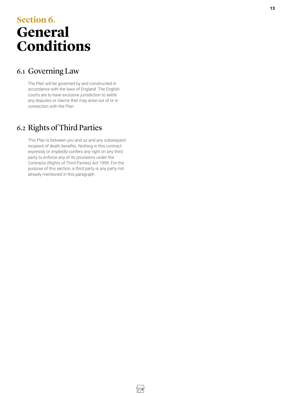# <span id="page-12-0"></span>**Section 6. General Conditions**

## 6.1 Governing Law

The Plan will be governed by and constructed in accordance with the laws of England. The English courts are to have exclusive jurisdiction to settle any disputes or claims that may arise out of or in connection with the Plan.

## 6.2 Rights of Third Parties

This Plan is between you and us and any subsequent recipient of death benefits. Nothing in this contract expressly or impliedly confers any right on any third party to enforce any of its provisions under the Contracts (Rights of Third Parties) Act 1999. For the purpose of this section, a third party is any party not already mentioned in this paragraph.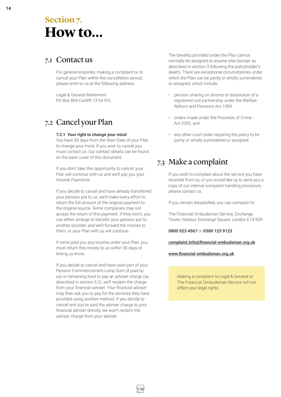## <span id="page-13-0"></span>**Section 7. How to...**

#### 7.1 Contact us

For general enquiries, making a complaint or to cancel your Plan within the cancellation period, please write to us at the following address:

Legal & General Retirement PO Box 809 Cardiff, CF24 0YL

## 7.2 Cancel your Plan

#### **7.2.1 Your right to change your mind**

You have 30 days from the Start Date of your Plan to change your mind. If you wish to cancel you must contact us. Our contact details can be found on the back cover of this document.

If you don't take this opportunity to cancel, your Plan will continue with us and we'll pay you your Income Payments.

If you decide to cancel and have already transferred your pension pot to us, we'll make every effort to return the full amount of the original payment to the original source. Some companies may not accept the return of this payment. If they won't, you can either arrange to transfer your pension pot to another provider and we'll forward the monies to them, or your Plan with us will continue.

If we've paid you any income under your Plan, you must return this money to us within 30 days of letting us know.

If you decide to cancel and have used part of your Pension Commencement Lump Sum (if paid by us) or remaining fund to pay an adviser charge (as described in section 5.2), we'll reclaim the charge from your financial adviser. Your financial adviser may then ask you to pay for the services they have provided using another method. If you decide to cancel and you've paid the adviser charge to your financial adviser directly, we won't reclaim the adviser charge from your adviser.

The benefits provided under the Plan cannot normally be assigned to anyone else (except as described in section 3 following the policyholder's death). There are exceptional circumstances under which the Plan can be partly or wholly surrendered or assigned, which include:

- pension sharing on divorce or dissolution of a registered civil partnership under the Welfare Reform and Pensions Act 1999,
- orders made under the Proceeds of Crime Act 2002, and
- any other court order requiring the policy to be partly or wholly surrendered or assigned.

## 7.3 Make a complaint

If you wish to complain about the service you have received from us, or you would like us to send you a copy of our internal complaint handling procedure, please contact us.

If you remain dissatisfied, you can complain to:

The Financial Ombudsman Service, Exchange Tower, Harbour Exchange Square, London E14 9SR

**0800 023 4567** or **0300 123 9123**

#### **[complaint.info@financial-ombudsma](mailto:complaint.info@financial-ombudsman.org.uk)n.org.uk**

#### **[www.financial-ombudsma](http://www.financial-ombudsman.org.uk)n.org.uk**

Making a complaint to Legal & General or The Financial Ombudsman Service will not affect your legal rights.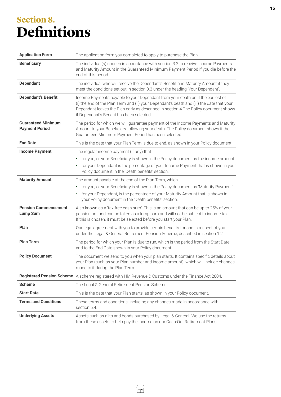# <span id="page-14-0"></span>**Section 8. Definitions**

| <b>Application Form</b>                            | The application form you completed to apply to purchase the Plan.                                                                                                                                                                                                                                                 |
|----------------------------------------------------|-------------------------------------------------------------------------------------------------------------------------------------------------------------------------------------------------------------------------------------------------------------------------------------------------------------------|
| <b>Beneficiary</b>                                 | The individual(s) chosen in accordance with section 3.2 to receive Income Payments<br>and Maturity Amount in the Guaranteed Minimum Payment Period if you die before the<br>end of this period.                                                                                                                   |
| <b>Dependant</b>                                   | The individual who will receive the Dependant's Benefit and Maturity Amount if they<br>meet the conditions set out in section 3.3 under the heading 'Your Dependant'.                                                                                                                                             |
| <b>Dependant's Benefit</b>                         | Income Payments payable to your Dependant from your death until the earliest of<br>(i) the end of the Plan Term and (ii) your Dependant's death and (iii) the date that your<br>Dependant leaves the Plan early as described in section 4. The Policy document shows<br>if Dependant's Benefit has been selected. |
| <b>Guaranteed Minimum</b><br><b>Payment Period</b> | The period for which we will guarantee payment of the Income Payments and Maturity<br>Amount to your Beneficiary following your death. The Policy document shows if the<br>Guaranteed Minimum Payment Period has been selected.                                                                                   |
| <b>End Date</b>                                    | This is the date that your Plan Term is due to end, as shown in your Policy document.                                                                                                                                                                                                                             |
| <b>Income Payment</b>                              | The regular income payment (if any) that<br>for you, or your Beneficiary is shown in the Policy document as the income amount<br>٠<br>for your Dependant is the percentage of your Income Payment that is shown in your<br>Policy document in the 'Death benefits' section.                                       |
| <b>Maturity Amount</b>                             | The amount payable at the end of the Plan Term, which<br>for you, or your Beneficiary is shown in the Policy document as 'Maturity Payment'<br>$\bullet$<br>for your Dependant, is the percentage of your Maturity Amount that is shown in<br>your Policy document in the 'Death benefits' section.               |
| <b>Pension Commencement</b><br><b>Lump Sum</b>     | Also known as a 'tax free cash sum'. This is an amount that can be up to 25% of your<br>pension pot and can be taken as a lump sum and will not be subject to income tax.<br>If this is chosen, it must be selected before you start your Plan.                                                                   |
| Plan                                               | Our legal agreement with you to provide certain benefits for and in respect of you<br>under the Legal & General Retirement Pension Scheme, described in section 1.2.                                                                                                                                              |
| <b>Plan Term</b>                                   | The period for which your Plan is due to run, which is the period from the Start Date<br>and to the End Date shown in your Policy document.                                                                                                                                                                       |
| <b>Policy Document</b>                             | The document we send to you when your plan starts. It contains specific details about<br>your Plan (such as your Plan number and income amount), which will include changes<br>made to it during the Plan Term.                                                                                                   |
|                                                    | Registered Pension Scheme A scheme registered with HM Revenue & Customs under the Finance Act 2004.                                                                                                                                                                                                               |
| <b>Scheme</b>                                      | The Legal & General Retirement Pension Scheme.                                                                                                                                                                                                                                                                    |
| <b>Start Date</b>                                  | This is the date that your Plan starts, as shown in your Policy document.                                                                                                                                                                                                                                         |
| <b>Terms and Conditions</b>                        | These terms and conditions, including any changes made in accordance with<br>section 5.4.                                                                                                                                                                                                                         |
| <b>Underlying Assets</b>                           | Assets such as gilts and bonds purchased by Legal & General. We use the returns<br>from these assets to help pay the income on our Cash-Out Retirement Plans.                                                                                                                                                     |